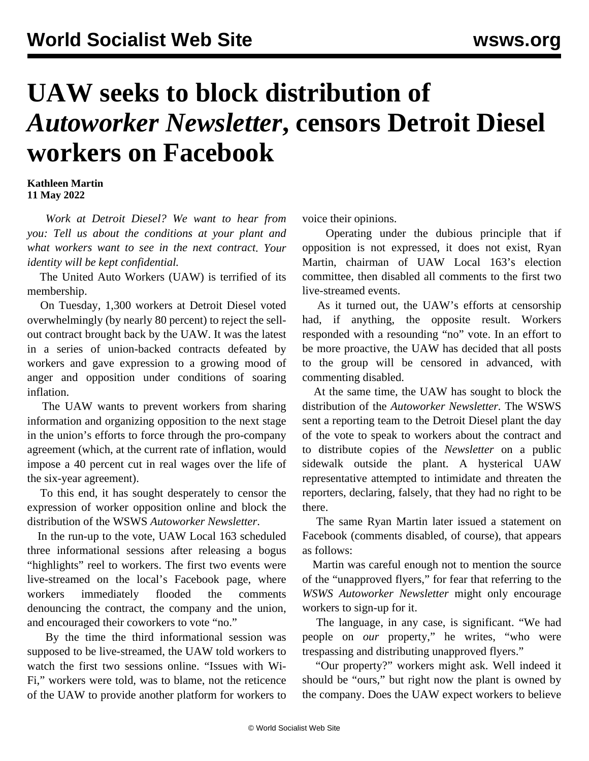## **UAW seeks to block distribution of**  *Autoworker Newsletter***, censors Detroit Diesel workers on Facebook**

## **Kathleen Martin 11 May 2022**

 *Work at Detroit Diesel? We want to hear from you: [Tell us about the conditions at your plant and](/en/special/pages/contact.html) [what workers want to see in the next contract.](/en/special/pages/contact.html) Your identity will be kept confidential.*

 The United Auto Workers (UAW) is terrified of its membership.

 On Tuesday, 1,300 workers at Detroit Diesel voted overwhelmingly (by nearly 80 percent) to reject the sellout contract brought back by the UAW. It was the latest in a series of union-backed contracts defeated by workers and gave expression to a growing mood of anger and opposition under conditions of soaring inflation.

 The UAW wants to prevent workers from sharing information and organizing opposition to the next stage in the union's efforts to force through the pro-company agreement (which, at the current rate of inflation, would impose a 40 percent cut in real wages over the life of the six-year agreement).

 To this end, it has sought desperately to censor the expression of worker opposition online and block the distribution of the WSWS *Autoworker Newsletter*.

 In the run-up to the vote, UAW Local 163 scheduled three informational sessions after releasing a bogus "highlights" reel to workers. The first two events were live-streamed on the local's Facebook page, where workers immediately flooded the comments denouncing the contract, the company and the union, and encouraged their coworkers to vote "no."

 By the time the third informational session was supposed to be live-streamed, the UAW told workers to watch the first two sessions online. "Issues with Wi-Fi," workers were told, was to blame, not the reticence of the UAW to provide another platform for workers to voice their opinions.

 Operating under the dubious principle that if opposition is not expressed, it does not exist, Ryan Martin, chairman of UAW Local 163's election committee, then disabled all comments to the first two live-streamed events.

 As it turned out, the UAW's efforts at censorship had, if anything, the opposite result. Workers responded with a resounding "no" vote. In an effort to be more proactive, the UAW has decided that all posts to the group will be censored in advanced, with commenting disabled.

 At the same time, the UAW has sought to block the distribution of the *Autoworker Newsletter.* The WSWS sent a reporting team to the Detroit Diesel plant the day of the vote to speak to workers about the contract and to distribute copies of the *Newsletter* on a public sidewalk outside the plant. A hysterical UAW representative attempted to intimidate and threaten the reporters, declaring, falsely, that they had no right to be there.

 The same Ryan Martin later issued a statement on Facebook (comments disabled, of course), that appears as follows:

 Martin was careful enough not to mention the source of the "unapproved flyers," for fear that referring to the *WSWS Autoworker Newsletter* might only encourage workers to sign-up for it.

 The language, in any case, is significant. "We had people on *our* property," he writes, "who were trespassing and distributing unapproved flyers."

 "Our property?" workers might ask. Well indeed it should be "ours," but right now the plant is owned by the company. Does the UAW expect workers to believe